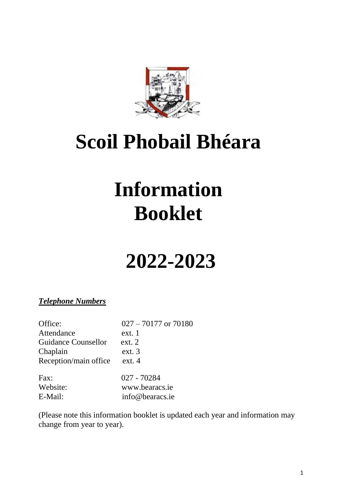

## **Scoil Phobail Bhéara**

# **Information Booklet**

## **2022-2023**

### *Telephone Numbers*

| Office:                    | $027 - 70177$ or $70180$ |
|----------------------------|--------------------------|
| Attendance                 | ext. 1                   |
| <b>Guidance Counsellor</b> | ext. 2                   |
| Chaplain                   | ext.3                    |
| Reception/main office      | ext. 4                   |
| Fax:                       | 027 - 70284              |
| Website:                   | www.bearacs.ie           |
| E-Mail:                    | info@bearacs.ie          |

(Please note this information booklet is updated each year and information may change from year to year).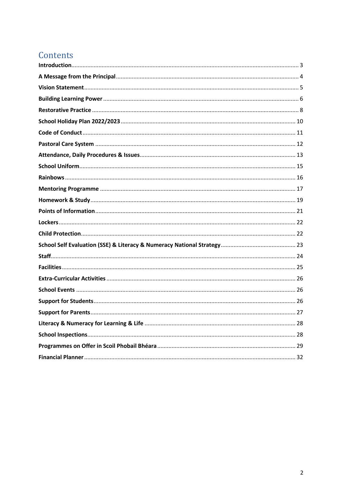### Contents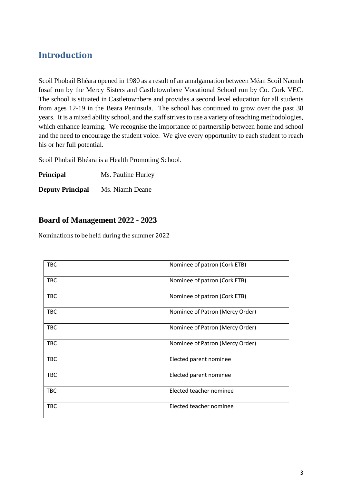### <span id="page-2-0"></span>**Introduction**

Scoil Phobail Bhéara opened in 1980 as a result of an amalgamation between Méan Scoil Naomh Iosaf run by the Mercy Sisters and Castletownbere Vocational School run by Co. Cork VEC. The school is situated in Castletownbere and provides a second level education for all students from ages 12-19 in the Beara Peninsula. The school has continued to grow over the past 38 years. It is a mixed ability school, and the staff strives to use a variety of teaching methodologies, which enhance learning. We recognise the importance of partnership between home and school and the need to encourage the student voice. We give every opportunity to each student to reach his or her full potential.

Scoil Phobail Bhéara is a Health Promoting School.

**Principal** Ms. Pauline Hurley

**Deputy Principal** Ms. Niamh Deane

### **Board of Management 2022 - 2023**

Nominations to be held during the summer 2022

| <b>TBC</b> | Nominee of patron (Cork ETB)    |
|------------|---------------------------------|
| <b>TBC</b> | Nominee of patron (Cork ETB)    |
| <b>TBC</b> | Nominee of patron (Cork ETB)    |
| <b>TBC</b> | Nominee of Patron (Mercy Order) |
| <b>TBC</b> | Nominee of Patron (Mercy Order) |
| <b>TBC</b> | Nominee of Patron (Mercy Order) |
| <b>TBC</b> | Elected parent nominee          |
| <b>TBC</b> | Elected parent nominee          |
| <b>TBC</b> | Elected teacher nominee         |
| <b>TBC</b> | Elected teacher nominee         |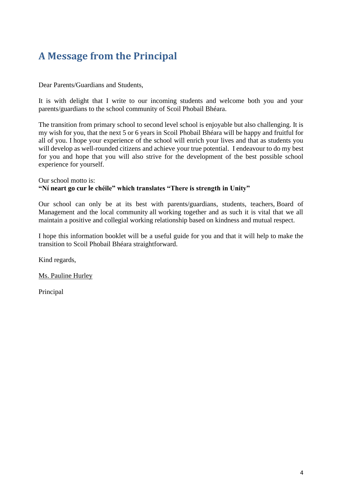### <span id="page-3-0"></span>**A Message from the Principal**

Dear Parents/Guardians and Students,

It is with delight that I write to our incoming students and welcome both you and your parents/guardians to the school community of Scoil Phobail Bhéara.

The transition from primary school to second level school is enjoyable but also challenging. It is my wish for you, that the next 5 or 6 years in Scoil Phobail Bhéara will be happy and fruitful for all of you. I hope your experience of the school will enrich your lives and that as students you will develop as well-rounded citizens and achieve your true potential. I endeavour to do my best for you and hope that you will also strive for the development of the best possible school experience for yourself.

#### Our school motto is: **"Ní neart go cur le chéile" which translates "There is strength in Unity"**

Our school can only be at its best with parents/guardians, students, teachers, Board of Management and the local community all working together and as such it is vital that we all maintain a positive and collegial working relationship based on kindness and mutual respect.

I hope this information booklet will be a useful guide for you and that it will help to make the transition to Scoil Phobail Bhéara straightforward.

Kind regards,

Ms. Pauline Hurley

Principal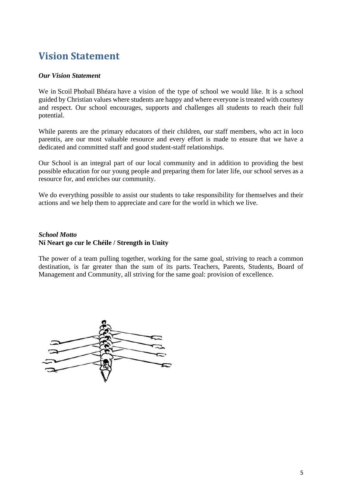### <span id="page-4-0"></span>**Vision Statement**

#### *Our Vision Statement*

We in Scoil Phobail Bhéara have a vision of the type of school we would like. It is a school guided by Christian values where students are happy and where everyone is treated with courtesy and respect. Our school encourages, supports and challenges all students to reach their full potential.

While parents are the primary educators of their children, our staff members, who act in loco parentis, are our most valuable resource and every effort is made to ensure that we have a dedicated and committed staff and good student-staff relationships.

Our School is an integral part of our local community and in addition to providing the best possible education for our young people and preparing them for later life, our school serves as a resource for, and enriches our community.

We do everything possible to assist our students to take responsibility for themselves and their actions and we help them to appreciate and care for the world in which we live.

### *School Motto* **Ní Neart go cur le Chéile / Strength in Unity**

The power of a team pulling together, working for the same goal, striving to reach a common destination, is far greater than the sum of its parts. Teachers, Parents, Students, Board of Management and Community, all striving for the same goal: provision of excellence.

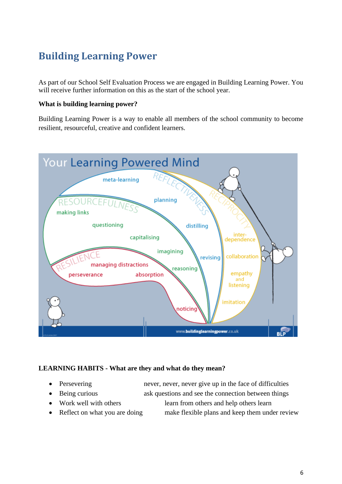### <span id="page-5-0"></span>**Building Learning Power**

As part of our School Self Evaluation Process we are engaged in Building Learning Power. You will receive further information on this as the start of the school year.

### **What is building learning power?**

Building Learning Power is a way to enable all members of the school community to become resilient, resourceful, creative and confident learners.



### **LEARNING HABITS - What are they and what do they mean?**

- 
- Being curious ask questions and see the connection between things
- 
- 

• Persevering never, never, never, never give up in the face of difficulties

- Work well with others learn from others and help others learn
- Reflect on what you are doing make flexible plans and keep them under review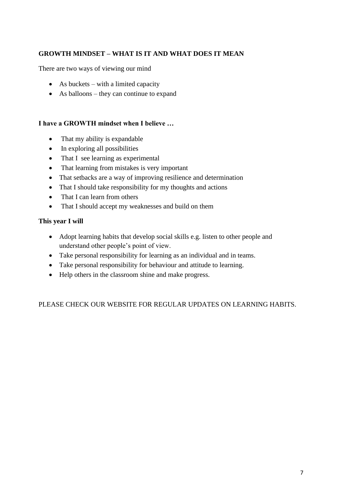### **GROWTH MINDSET – WHAT IS IT AND WHAT DOES IT MEAN**

There are two ways of viewing our mind

- As buckets with a limited capacity
- As balloons they can continue to expand

### **I have a GROWTH mindset when I believe …**

- That my ability is expandable
- In exploring all possibilities
- That I see learning as experimental
- That learning from mistakes is very important
- That setbacks are a way of improving resilience and determination
- That I should take responsibility for my thoughts and actions
- That I can learn from others
- That I should accept my weaknesses and build on them

### **This year I will**

- Adopt learning habits that develop social skills e.g. listen to other people and understand other people's point of view.
- Take personal responsibility for learning as an individual and in teams.
- Take personal responsibility for behaviour and attitude to learning.
- Help others in the classroom shine and make progress.

PLEASE CHECK OUR WEBSITE FOR REGULAR UPDATES ON LEARNING HABITS.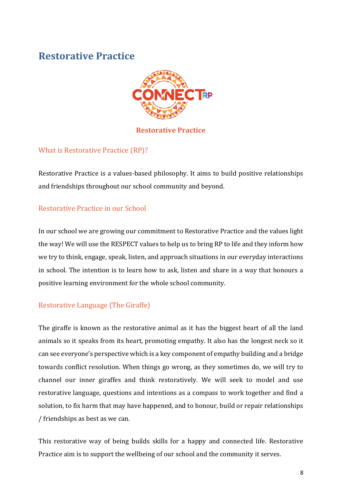### <span id="page-7-0"></span>**Restorative Practice**



### **Restorative Practice**

### What is Restorative Practice (RP)?

Restorative Practice is a values-based philosophy. It aims to build positive relationships and friendships throughout our school community and beyond.

### Restorative Practice in our School

In our school we are growing our commitment to Restorative Practice and the values light the way! We will use the RESPECT values to help us to bring RP to life and they inform how we try to think, engage, speak, listen, and approach situations in our everyday interactions in school. The intention is to learn how to ask, listen and share in a way that honours a positive learning environment for the whole school community.

### Restorative Language (The Giraffe)

The giraffe is known as the restorative animal as it has the biggest heart of all the land animals so it speaks from its heart, promoting empathy. It also has the longest neck so it can see everyone's perspective which is a key component of empathy building and a bridge towards conflict resolution. When things go wrong, as they sometimes do, we will try to channel our inner giraffes and think restoratively. We will seek to model and use restorative language, questions and intentions as a compass to work together and find a solution, to fix harm that may have happened, and to honour, build or repair relationships / friendships as best as we can.

This restorative way of being builds skills for a happy and connected life. Restorative Practice aim is to support the wellbeing of our school and the community it serves.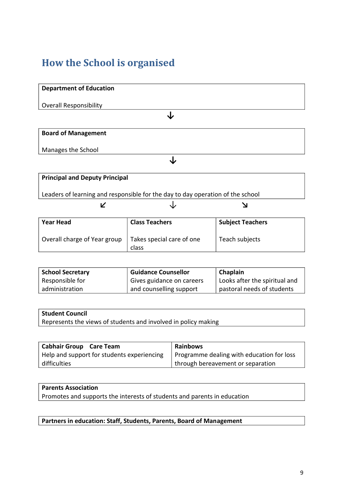### **How the School is organised**

## **Department of Education** Overall Responsibility **↓ Board of Management** Manages the School **↓**

| <b>Principal and Deputy Principal</b>                                          |  |  |  |
|--------------------------------------------------------------------------------|--|--|--|
|                                                                                |  |  |  |
|                                                                                |  |  |  |
| Leaders of learning and responsible for the day to day operation of the school |  |  |  |
|                                                                                |  |  |  |
|                                                                                |  |  |  |
|                                                                                |  |  |  |

| <b>Year Head</b>             | <b>Class Teachers</b>              | <b>Subject Teachers</b> |
|------------------------------|------------------------------------|-------------------------|
| Overall charge of Year group | Takes special care of one<br>class | Teach subjects          |

| <b>School Secretary</b> | <b>Guidance Counsellor</b> | Chaplain                      |
|-------------------------|----------------------------|-------------------------------|
| Responsible for         | Gives guidance on careers  | Looks after the spiritual and |
| administration          | and counselling support    | pastoral needs of students    |

| <b>Student Council</b>                                         |
|----------------------------------------------------------------|
| Represents the views of students and involved in policy making |

| <b>Cabhair Group</b> Care Team             | <b>Rainbows</b>                           |
|--------------------------------------------|-------------------------------------------|
| Help and support for students experiencing | Programme dealing with education for loss |
| difficulties                               | through bereavement or separation         |

### **Parents Association** Promotes and supports the interests of students and parents in education

**Partners in education: Staff, Students, Parents, Board of Management**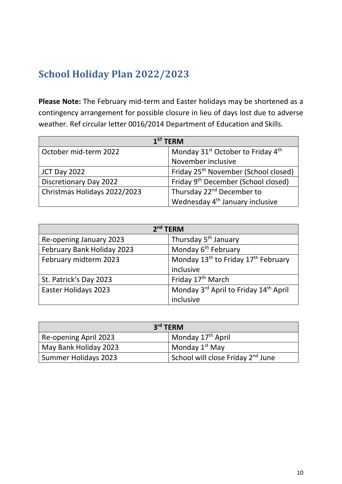### <span id="page-9-0"></span>**School Holiday Plan 2022/2023**

**Please Note:** The February mid-term and Easter holidays may be shortened as a contingency arrangement for possible closure in lieu of days lost due to adverse weather. Ref circular letter 0016/2014 Department of Education and Skills.

| $1ST$ TFRM                    |                                                           |
|-------------------------------|-----------------------------------------------------------|
| October mid-term 2022         | Monday 31 <sup>st</sup> October to Friday 4 <sup>th</sup> |
|                               | November inclusive                                        |
| <b>JCT Day 2022</b>           | Friday 25 <sup>th</sup> November (School closed)          |
| <b>Discretionary Day 2022</b> | Friday 9 <sup>th</sup> December (School closed)           |
| Christmas Holidays 2022/2023  | Thursday 22 <sup>nd</sup> December to                     |
|                               | Wednesday 4 <sup>th</sup> January inclusive               |

| $2nd$ TERM                  |                                                             |  |
|-----------------------------|-------------------------------------------------------------|--|
| Re-opening January 2023     | Thursday 5 <sup>th</sup> January                            |  |
| February Bank Holiday 2023  | Monday 6 <sup>th</sup> February                             |  |
| February midterm 2023       | Monday 13 <sup>th</sup> to Friday 17 <sup>th</sup> February |  |
|                             | inclusive                                                   |  |
| St. Patrick's Day 2023      | Friday 17 <sup>th</sup> March                               |  |
| <b>Easter Holidays 2023</b> | Monday 3rd April to Friday 14th April                       |  |
|                             | inclusive                                                   |  |

| $3rd$ TERM            |                                               |
|-----------------------|-----------------------------------------------|
| Re-opening April 2023 | Monday 17 <sup>th</sup> April                 |
| May Bank Holiday 2023 | Monday 1 <sup>st</sup> May                    |
| Summer Holidays 2023  | School will close Friday 2 <sup>nd</sup> June |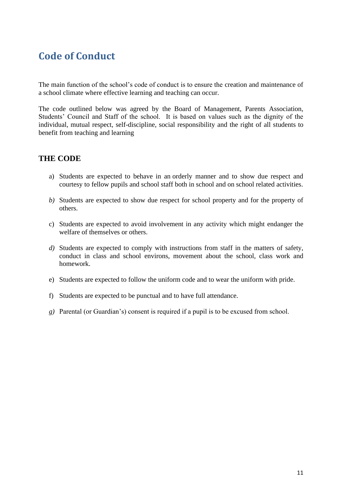### <span id="page-10-0"></span>**Code of Conduct**

The main function of the school's code of conduct is to ensure the creation and maintenance of a school climate where effective learning and teaching can occur.

The code outlined below was agreed by the Board of Management, Parents Association, Students' Council and Staff of the school. It is based on values such as the dignity of the individual, mutual respect, self-discipline, social responsibility and the right of all students to benefit from teaching and learning

### **THE CODE**

- a) Students are expected to behave in an orderly manner and to show due respect and courtesy to fellow pupils and school staff both in school and on school related activities.
- *b)* Students are expected to show due respect for school property and for the property of others.
- c) Students are expected to avoid involvement in any activity which might endanger the welfare of themselves or others.
- *d)* Students are expected to comply with instructions from staff in the matters of safety, conduct in class and school environs, movement about the school, class work and homework.
- e) Students are expected to follow the uniform code and to wear the uniform with pride.
- f) Students are expected to be punctual and to have full attendance.
- *g)* Parental (or Guardian's) consent is required if a pupil is to be excused from school.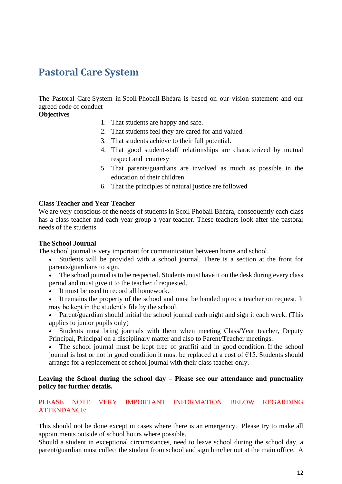### <span id="page-11-0"></span>**Pastoral Care System**

The Pastoral Care System in Scoil Phobail Bhéara is based on our vision statement and our agreed code of conduct

#### **Objectives**

- 1. That students are happy and safe.
- 2. That students feel they are cared for and valued.
- 3. That students achieve to their full potential.
- 4. That good student-staff relationships are characterized by mutual respect and courtesy
- 5. That parents/guardians are involved as much as possible in the education of their children
- 6. That the principles of natural justice are followed

#### **Class Teacher and Year Teacher**

We are very conscious of the needs of students in Scoil Phobail Bhéara, consequently each class has a class teacher and each year group a year teacher. These teachers look after the pastoral needs of the students.

#### **The School Journal**

The school journal is very important for communication between home and school.

- Students will be provided with a school journal. There is a section at the front for parents/guardians to sign.
- The school journal is to be respected. Students must have it on the desk during every class period and must give it to the teacher if requested.
- It must be used to record all homework.
- It remains the property of the school and must be handed up to a teacher on request. It may be kept in the student's file by the school.
- Parent/guardian should initial the school journal each night and sign it each week. (This applies to junior pupils only)
- Students must bring journals with them when meeting Class/Year teacher, Deputy Principal, Principal on a disciplinary matter and also to Parent/Teacher meetings.

The school journal must be kept free of graffiti and in good condition. If the school journal is lost or not in good condition it must be replaced at a cost of  $\epsilon$ 15. Students should arrange for a replacement of school journal with their class teacher only.

#### **Leaving the School during the school day – Please see our attendance and punctuality policy for further details.**

### PLEASE NOTE VERY IMPORTANT INFORMATION BELOW REGARDING ATTENDANCE:

This should not be done except in cases where there is an emergency. Please try to make all appointments outside of school hours where possible.

Should a student in exceptional circumstances, need to leave school during the school day, a parent/guardian must collect the student from school and sign him/her out at the main office. A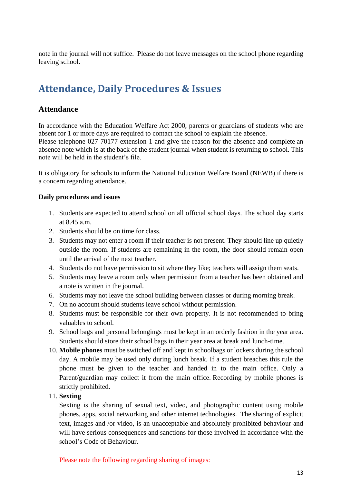note in the journal will not suffice. Please do not leave messages on the school phone regarding leaving school.

### <span id="page-12-0"></span>**Attendance, Daily Procedures & Issues**

### **Attendance**

In accordance with the Education Welfare Act 2000, parents or guardians of students who are absent for 1 or more days are required to contact the school to explain the absence. Please telephone 027 70177 extension 1 and give the reason for the absence and complete an absence note which is at the back of the student journal when student is returning to school. This note will be held in the student's file.

It is obligatory for schools to inform the National Education Welfare Board (NEWB) if there is a concern regarding attendance.

### **Daily procedures and issues**

- 1. Students are expected to attend school on all official school days. The school day starts at 8.45 a.m.
- 2. Students should be on time for class.
- 3. Students may not enter a room if their teacher is not present. They should line up quietly outside the room. If students are remaining in the room, the door should remain open until the arrival of the next teacher.
- 4. Students do not have permission to sit where they like; teachers will assign them seats.
- 5. Students may leave a room only when permission from a teacher has been obtained and a note is written in the journal.
- 6. Students may not leave the school building between classes or during morning break.
- 7. On no account should students leave school without permission.
- 8. Students must be responsible for their own property. It is not recommended to bring valuables to school.
- 9. School bags and personal belongings must be kept in an orderly fashion in the year area. Students should store their school bags in their year area at break and lunch-time.
- 10. **Mobile phones** must be switched off and kept in schoolbags or lockers during the school day. A mobile may be used only during lunch break. If a student breaches this rule the phone must be given to the teacher and handed in to the main office. Only a Parent/guardian may collect it from the main office. Recording by mobile phones is strictly prohibited.

### 11. **Sexting**

Sexting is the sharing of sexual text, video, and photographic content using mobile phones, apps, social networking and other internet technologies. The sharing of explicit text, images and /or video, is an unacceptable and absolutely prohibited behaviour and will have serious consequences and sanctions for those involved in accordance with the school's Code of Behaviour.

Please note the following regarding sharing of images: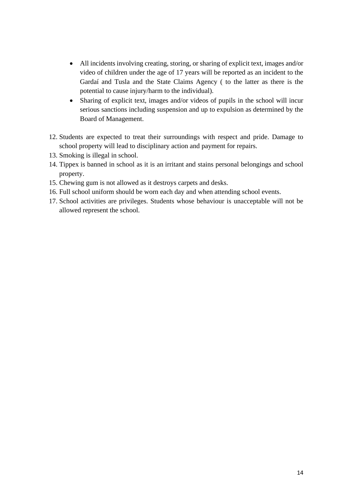- All incidents involving creating, storing, or sharing of explicit text, images and/or video of children under the age of 17 years will be reported as an incident to the Gardaí and Tusla and the State Claims Agency ( to the latter as there is the potential to cause injury/harm to the individual).
- Sharing of explicit text, images and/or videos of pupils in the school will incur serious sanctions including suspension and up to expulsion as determined by the Board of Management.
- 12. Students are expected to treat their surroundings with respect and pride. Damage to school property will lead to disciplinary action and payment for repairs.
- 13. Smoking is illegal in school.
- 14. Tippex is banned in school as it is an irritant and stains personal belongings and school property.
- 15. Chewing gum is not allowed as it destroys carpets and desks.
- 16. Full school uniform should be worn each day and when attending school events.
- 17. School activities are privileges. Students whose behaviour is unacceptable will not be allowed represent the school.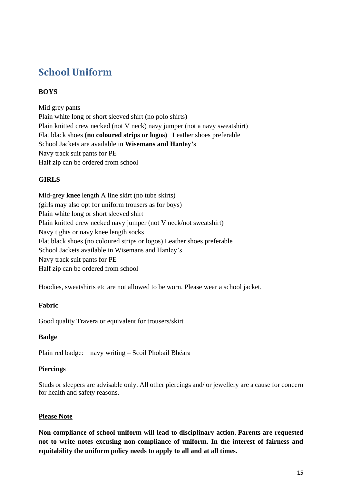### <span id="page-14-0"></span>**School Uniform**

### **BOYS**

Mid grey pants Plain white long or short sleeved shirt (no polo shirts) Plain knitted crew necked (not V neck) navy jumper (not a navy sweatshirt) Flat black shoes **(no coloured strips or logos)** Leather shoes preferable School Jackets are available in **Wisemans and Hanley's** Navy track suit pants for PE Half zip can be ordered from school

### **GIRLS**

Mid-grey **knee** length A line skirt (no tube skirts) (girls may also opt for uniform trousers as for boys) Plain white long or short sleeved shirt Plain knitted crew necked navy jumper (not V neck/not sweatshirt) Navy tights or navy knee length socks Flat black shoes (no coloured strips or logos) Leather shoes preferable School Jackets available in Wisemans and Hanley's Navy track suit pants for PE Half zip can be ordered from school

Hoodies, sweatshirts etc are not allowed to be worn. Please wear a school jacket.

### **Fabric**

Good quality Travera or equivalent for trousers/skirt

### **Badge**

Plain red badge: navy writing – Scoil Phobail Bhéara

### **Piercings**

Studs or sleepers are advisable only. All other piercings and/ or jewellery are a cause for concern for health and safety reasons.

### **Please Note**

**Non-compliance of school uniform will lead to disciplinary action. Parents are requested not to write notes excusing non-compliance of uniform. In the interest of fairness and equitability the uniform policy needs to apply to all and at all times.**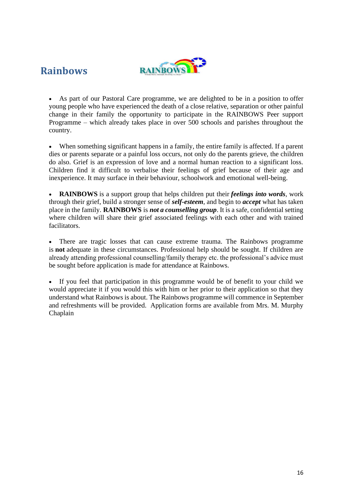### <span id="page-15-0"></span>**Rainbows**



As part of our Pastoral Care programme, we are delighted to be in a position to offer young people who have experienced the death of a close relative, separation or other painful change in their family the opportunity to participate in the RAINBOWS Peer support Programme – which already takes place in over 500 schools and parishes throughout the country.

When something significant happens in a family, the entire family is affected. If a parent dies or parents separate or a painful loss occurs, not only do the parents grieve, the children do also. Grief is an expression of love and a normal human reaction to a significant loss. Children find it difficult to verbalise their feelings of grief because of their age and inexperience. It may surface in their behaviour, schoolwork and emotional well-being.

• **RAINBOWS** is a support group that helps children put their *feelings into words*, work through their grief, build a stronger sense of *self-esteem*, and begin to *accept* what has taken place in the family. **RAINBOWS** is *not a counselling group*. It is a safe, confidential setting where children will share their grief associated feelings with each other and with trained facilitators.

There are tragic losses that can cause extreme trauma. The Rainbows programme is **not** adequate in these circumstances. Professional help should be sought. If children are already attending professional counselling/family therapy etc. the professional's advice must be sought before application is made for attendance at Rainbows.

If you feel that participation in this programme would be of benefit to your child we would appreciate it if you would this with him or her prior to their application so that they understand what Rainbows is about. The Rainbows programme will commence in September and refreshments will be provided. Application forms are available from Mrs. M. Murphy Chaplain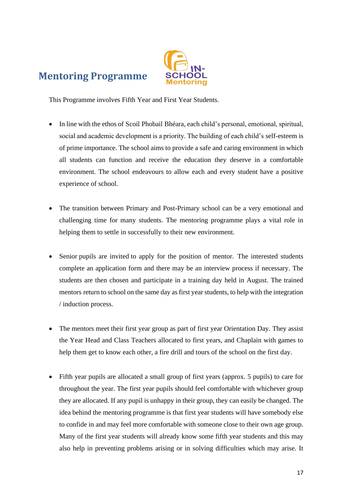### <span id="page-16-0"></span>**Mentoring Programme**



This Programme involves Fifth Year and First Year Students.

- In line with the ethos of Scoil Phobail Bhéara, each child's personal, emotional, spiritual, social and academic development is a priority. The building of each child's self-esteem is of prime importance. The school aims to provide a safe and caring environment in which all students can function and receive the education they deserve in a comfortable environment. The school endeavours to allow each and every student have a positive experience of school.
- The transition between Primary and Post-Primary school can be a very emotional and challenging time for many students. The mentoring programme plays a vital role in helping them to settle in successfully to their new environment.
- Senior pupils are invited to apply for the position of mentor. The interested students complete an application form and there may be an interview process if necessary. The students are then chosen and participate in a training day held in August. The trained mentors return to school on the same day as first year students, to help with the integration / induction process.
- The mentors meet their first year group as part of first year Orientation Day. They assist the Year Head and Class Teachers allocated to first years, and Chaplain with games to help them get to know each other, a fire drill and tours of the school on the first day.
- Fifth year pupils are allocated a small group of first years (approx. 5 pupils) to care for throughout the year. The first year pupils should feel comfortable with whichever group they are allocated. If any pupil is unhappy in their group, they can easily be changed. The idea behind the mentoring programme is that first year students will have somebody else to confide in and may feel more comfortable with someone close to their own age group. Many of the first year students will already know some fifth year students and this may also help in preventing problems arising or in solving difficulties which may arise. It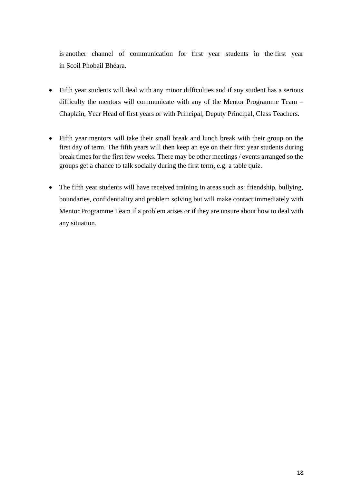is another channel of communication for first year students in the first year in Scoil Phobail Bhéara.

- Fifth year students will deal with any minor difficulties and if any student has a serious difficulty the mentors will communicate with any of the Mentor Programme Team – Chaplain, Year Head of first years or with Principal, Deputy Principal, Class Teachers.
- Fifth year mentors will take their small break and lunch break with their group on the first day of term. The fifth years will then keep an eye on their first year students during break times for the first few weeks. There may be other meetings / events arranged so the groups get a chance to talk socially during the first term, e.g. a table quiz.
- The fifth year students will have received training in areas such as: friendship, bullying, boundaries, confidentiality and problem solving but will make contact immediately with Mentor Programme Team if a problem arises or if they are unsure about how to deal with any situation.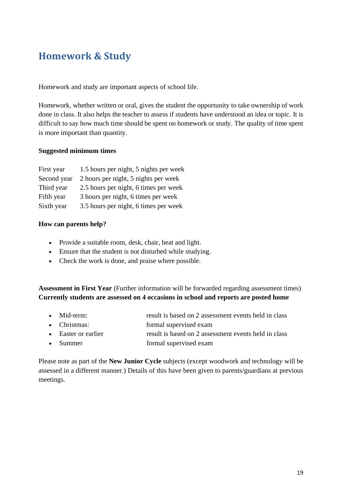### <span id="page-18-0"></span>**Homework & Study**

Homework and study are important aspects of school life.

Homework, whether written or oral, gives the student the opportunity to take ownership of work done in class. It also helps the teacher to assess if students have understood an idea or topic. It is difficult to say how much time should be spent on homework or study. The quality of time spent is more important than quantity.

#### **Suggested minimum times**

| First year  | 1.5 hours per night, 5 nights per week |
|-------------|----------------------------------------|
| Second year | 2 hours per night, 5 nights per week   |
| Third year  | 2.5 hours per night, 6 times per week  |
| Fifth year  | 3 hours per night, 6 times per week    |
| Sixth year  | 3.5 hours per night, 6 times per week  |

### **How can parents help?**

- Provide a suitable room, desk, chair, heat and light.
- Ensure that the student is not disturbed while studying.
- Check the work is done, and praise where possible.

**Assessment in First Year** (Further information will be forwarded regarding assessment times) **Currently students are assessed on 4 occasions in school and reports are posted home**

- Mid-term: result is based on 2 assessment events held in class
- Christmas: formal supervised exam
- Easter or earlier result is based on 2 assessment events held in class
- Summer formal supervised exam

Please note as part of the **New Junior Cycle** subjects (except woodwork and technology will be assessed in a different manner.) Details of this have been given to parents/guardians at previous meetings.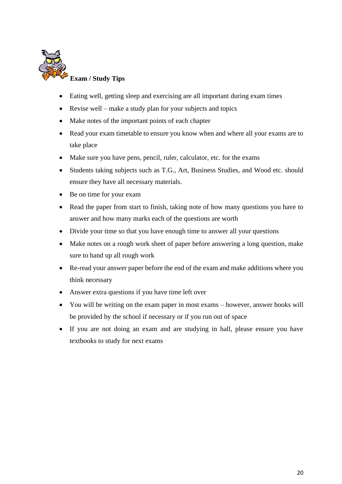

- Eating well, getting sleep and exercising are all important during exam times
- Revise well make a study plan for your subjects and topics
- Make notes of the important points of each chapter
- Read your exam timetable to ensure you know when and where all your exams are to take place
- Make sure you have pens, pencil, ruler, calculator, etc. for the exams
- Students taking subjects such as T.G., Art, Business Studies, and Wood etc. should ensure they have all necessary materials.
- Be on time for your exam
- Read the paper from start to finish, taking note of how many questions you have to answer and how many marks each of the questions are worth
- Divide your time so that you have enough time to answer all your questions
- Make notes on a rough work sheet of paper before answering a long question, make sure to hand up all rough work
- Re-read your answer paper before the end of the exam and make additions where you think necessary
- Answer extra questions if you have time left over
- You will be writing on the exam paper in most exams however, answer books will be provided by the school if necessary or if you run out of space
- If you are not doing an exam and are studying in hall, please ensure you have textbooks to study for next exams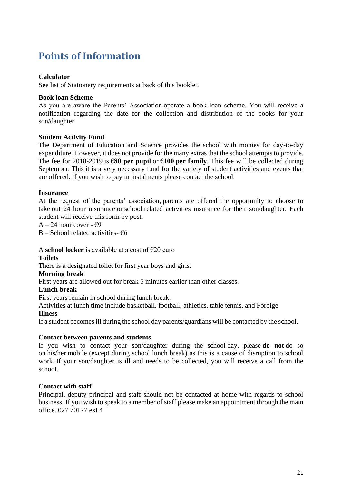### <span id="page-20-0"></span>**Points of Information**

#### **Calculator**

See list of Stationery requirements at back of this booklet.

#### **Book loan Scheme**

As you are aware the Parents' Association operate a book loan scheme. You will receive a notification regarding the date for the collection and distribution of the books for your son/daughter

### **Student Activity Fund**

The Department of Education and Science provides the school with monies for day-to-day expenditure. However, it does not provide for the many extras that the school attempts to provide. The fee for 2018-2019 is **€80 per pupil** or **€100 per family**. This fee will be collected during September. This it is a very necessary fund for the variety of student activities and events that are offered. If you wish to pay in instalments please contact the school.

#### **Insurance**

At the request of the parents' association, parents are offered the opportunity to choose to take out 24 hour insurance or school related activities insurance for their son/daughter. Each student will receive this form by post.

 $A - 24$  hour cover -  $\epsilon$ 9

B – School related activities-  $\epsilon$ 6

A **school locker** is available at a cost of  $\epsilon$ 20 euro

#### **Toilets**

There is a designated toilet for first year boys and girls.

#### **Morning break**

First years are allowed out for break 5 minutes earlier than other classes.

#### **Lunch break**

First years remain in school during lunch break.

Activities at lunch time include basketball, football, athletics, table tennis, and Fóroige

#### **Illness**

If a student becomes ill during the school day parents/guardians will be contacted by the school.

#### **Contact between parents and students**

If you wish to contact your son/daughter during the school day, please **do not** do so on his/her mobile (except during school lunch break) as this is a cause of disruption to school work. If your son/daughter is ill and needs to be collected, you will receive a call from the school.

#### **Contact with staff**

Principal, deputy principal and staff should not be contacted at home with regards to school business. If you wish to speak to a member of staff please make an appointment through the main office. 027 70177 ext 4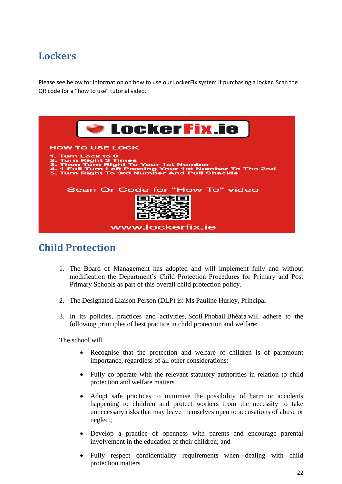### <span id="page-21-0"></span>**Lockers**

Please see below for information on how to use our LockerFix system if purchasing a locker. Scan the QR code for a "how to use" tutorial video.



### <span id="page-21-1"></span>**Child Protection**

- 1. The Board of Management has adopted and will implement fully and without modification the Department's Child Protection Procedures for Primary and Post Primary Schools as part of this overall child protection policy.
- 2. The Designated Liaison Person (DLP) is: Ms Pauline Hurley, Principal
- 3. In its policies, practices and activities, Scoil Phobail Bhéara will adhere to the following principles of best practice in child protection and welfare:

The school will

- Recognise that the protection and welfare of children is of paramount importance, regardless of all other considerations;
- Fully co-operate with the relevant statutory authorities in relation to child protection and welfare matters
- Adopt safe practices to minimise the possibility of harm or accidents happening to children and protect workers from the necessity to take unnecessary risks that may leave themselves open to accusations of abuse or neglect;
- Develop a practice of openness with parents and encourage parental involvement in the education of their children; and
- Fully respect confidentiality requirements when dealing with child protection matters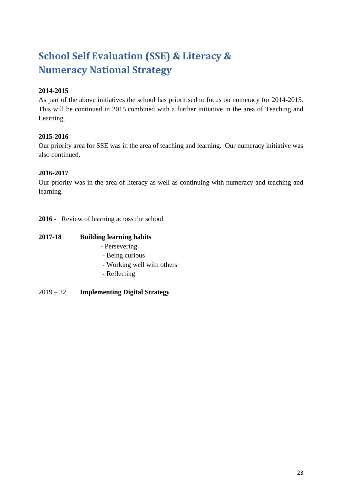## <span id="page-22-0"></span>**School Self Evaluation (SSE) & Literacy & Numeracy National Strategy**

### **2014-2015**

As part of the above initiatives the school has prioritised to focus on numeracy for 2014-2015. This will be continued in 2015 combined with a further initiative in the area of Teaching and Learning.

### **2015-2016**

Our priority area for SSE was in the area of teaching and learning. Our numeracy initiative was also continued.

### **2016-2017**

Our priority was in the area of literacy as well as continuing with numeracy and teaching and learning.

**2016** - Review of learning across the school

### **2017-18 Building learning habits**

- Persevering
- Being curious
- Working well with others
- Reflecting
- 2019 22 **Implementing Digital Strategy**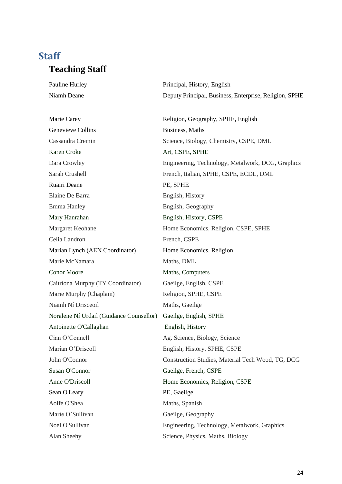### <span id="page-23-0"></span>**Staff Teaching Staff**

Genevieve Collins Business, Maths Karen Croke Art, CSPE, SPHE Ruairi Deane PE, SPHE Elaine De Barra **English, History** Emma Hanley English, Geography Mary Hanrahan English, History, CSPE Celia Landron French, CSPE Marian Lynch (AEN Coordinator) Home Economics, Religion Marie McNamara Maths, DML Conor Moore Maths, Computers Caitríona Murphy (TY Coordinator) Gaeilge, English, CSPE Marie Murphy (Chaplain) Religion, SPHE, CSPE Niamh Ní Drisceoil Maths, Gaeilge Noralene Ní Urdail (Guidance Counsellor) Gaeilge, English, SPHE Antoinette O'Callaghan English, History Cian O'Connell Ag. Science, Biology, Science Marian O'Driscoll English, History, SPHE, CSPE Susan O'Connor Gaeilge, French, CSPE Anne O'Driscoll Home Economics, Religion, CSPE Sean O'Leary PE, Gaeilge Aoife O'Shea Maths, Spanish Marie O'Sullivan Gaeilge, Geography

Pauline Hurley Principal, History, English Niamh Deane Deputy Principal, Business, Enterprise, Religion, SPHE

Marie Carey Religion, Geography, SPHE, English Cassandra Cremin Science, Biology, Chemistry, CSPE, DML Dara Crowley Engineering, Technology, Metalwork, DCG, Graphics Sarah Crushell French, Italian, SPHE, CSPE, ECDL, DML Margaret Keohane Home Economics, Religion, CSPE, SPHE John O'Connor Construction Studies, Material Tech Wood, TG, DCG Noel O'Sullivan Engineering, Technology, Metalwork, Graphics Alan Sheehy Science, Physics, Maths, Biology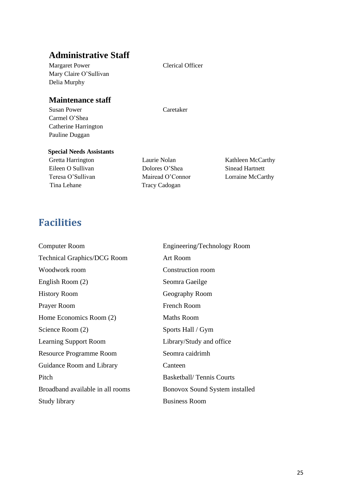### **Administrative Staff**

Margaret Power Clerical Officer Mary Claire O'Sullivan Delia Murphy

### **Maintenance staff**

Susan Power Caretaker Carmel O'Shea Catherine Harrington Pauline Duggan

#### **Special Needs Assistants**

Tina Lehane Tracy Cadogan

Eileen O Sullivan Dolores O'Shea Sinead Hartnett Teresa O'Sullivan Mairead O'Connor Lorraine McCarthy

Gretta Harrington Laurie Nolan Kathleen McCarthy

### <span id="page-24-0"></span>**Facilities**

| <b>Computer Room</b>               | Engineering/Technology Room     |
|------------------------------------|---------------------------------|
| <b>Technical Graphics/DCG Room</b> | <b>Art Room</b>                 |
| Woodwork room                      | Construction room               |
| English Room (2)                   | Seomra Gaeilge                  |
| History Room                       | Geography Room                  |
| Prayer Room                        | French Room                     |
| Home Economics Room (2)            | <b>Maths Room</b>               |
| Science Room (2)                   | Sports Hall / Gym               |
| <b>Learning Support Room</b>       | Library/Study and office        |
| <b>Resource Programme Room</b>     | Seomra caidrimh                 |
| <b>Guidance Room and Library</b>   | Canteen                         |
| Pitch                              | <b>Basketball/Tennis Courts</b> |
| Broadband available in all rooms   | Bonovox Sound System installed  |
| Study library                      | <b>Business Room</b>            |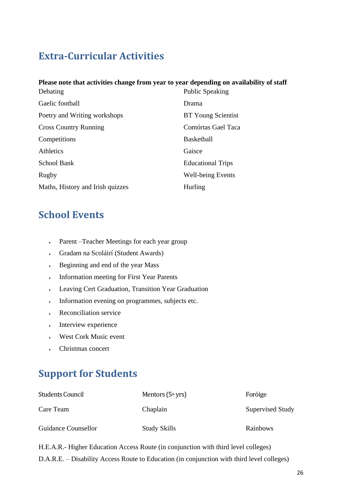### <span id="page-25-0"></span>**Extra-Curricular Activities**

### **Please note that activities change from year to year depending on availability of staff**

| Debating                         | <b>Public Speaking</b>    |
|----------------------------------|---------------------------|
| Gaelic football                  | Drama                     |
| Poetry and Writing workshops     | <b>BT</b> Young Scientist |
| <b>Cross Country Running</b>     | Comórtas Gael Taca        |
| Competitions                     | <b>Basketball</b>         |
| Athletics                        | Gaisce                    |
| School Bank                      | <b>Educational Trips</b>  |
| Rugby                            | <b>Well-being Events</b>  |
| Maths, History and Irish quizzes | <b>Hurling</b>            |

### <span id="page-25-1"></span>**School Events**

- Parent –Teacher Meetings for each year group
- Gradam na Scoláirí (Student Awards)
- Beginning and end of the year Mass
- Information meeting for First Year Parents
- Leaving Cert Graduation, Transition Year Graduation
- Information evening on programmes, subjects etc.
- Reconciliation service
- Interview experience
- West Cork Music event
- Christmas concert

### <span id="page-25-2"></span>**Support for Students**

| <b>Students Council</b> | Mentors $(5th yrs)$ | Foróige          |
|-------------------------|---------------------|------------------|
| Care Team               | Chaplain            | Supervised Study |
| Guidance Counsellor     | <b>Study Skills</b> | Rainbows         |

H.E.A.R.- Higher Education Access Route (in conjunction with third level colleges) D.A.R.E. – Disability Access Route to Education (in conjunction with third level colleges)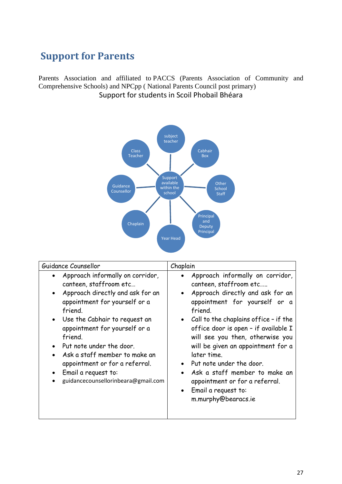### <span id="page-26-0"></span>**Support for Parents**

Parents Association and affiliated to PACCS (Parents Association of Community and Comprehensive Schools) and NPCpp ( National Parents Council post primary) Support for students in Scoil Phobail Bhéara



| Guidance Counsellor                                                                                                                                                                                                                                                                                                                                                                  | Chaplain                                                                                                                                                                                                                                                                                                                                                                                                                                                                                                              |  |
|--------------------------------------------------------------------------------------------------------------------------------------------------------------------------------------------------------------------------------------------------------------------------------------------------------------------------------------------------------------------------------------|-----------------------------------------------------------------------------------------------------------------------------------------------------------------------------------------------------------------------------------------------------------------------------------------------------------------------------------------------------------------------------------------------------------------------------------------------------------------------------------------------------------------------|--|
| Approach informally on corridor,<br>canteen, staffroom etc<br>Approach directly and ask for an<br>appointment for yourself or a<br>friend.<br>Use the Cabhair to reguest an<br>appointment for yourself or a<br>friend.<br>Put note under the door.<br>Ask a staff member to make an<br>appointment or for a referral.<br>Email a request to:<br>guidancecounsellorinbeara@gmail.com | Approach informally on corridor,<br>canteen, staffroom etc<br>Approach directly and ask for an<br>$\bullet$<br>appointment for yourself or a<br>friend.<br>Call to the chaplains office - if the<br>$\bullet$<br>office door is open - if available I<br>will see you then, otherwise you<br>will be given an appointment for a<br>later time.<br>Put note under the door.<br>Ask a staff member to make an<br>$\bullet$<br>appointment or for a referral.<br>Email a request to:<br>$\bullet$<br>m.murphy@bearacs.ie |  |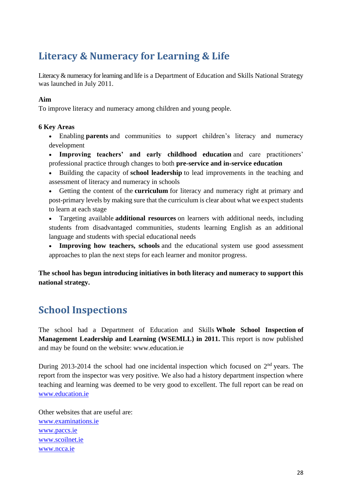### <span id="page-27-0"></span>**Literacy & Numeracy for Learning & Life**

Literacy & numeracy for learning and life is a Department of Education and Skills National Strategy was launched in July 2011.

### **Aim**

To improve literacy and numeracy among children and young people.

### **6 Key Areas**

- Enabling **parents** and communities to support children's literacy and numeracy development
- **Improving teachers' and early childhood education** and care practitioners' professional practice through changes to both **pre-service and in-service education**
- Building the capacity of **school leadership** to lead improvements in the teaching and assessment of literacy and numeracy in schools
- Getting the content of the **curriculum** for literacy and numeracy right at primary and post-primary levels by making sure that the curriculum is clear about what we expect students to learn at each stage
- Targeting available **additional resources** on learners with additional needs, including students from disadvantaged communities, students learning English as an additional language and students with special educational needs
- **Improving how teachers, schools** and the educational system use good assessment approaches to plan the next steps for each learner and monitor progress.

**The school has begun introducing initiatives in both literacy and numeracy to support this national strategy.**

### <span id="page-27-1"></span>**School Inspections**

The school had a Department of Education and Skills **Whole School Inspection of Management Leadership and Learning (WSEMLL) in 2011.** This report is now published and may be found on the website: www.education.ie

During 2013-2014 the school had one incidental inspection which focused on  $2<sup>nd</sup>$  years. The report from the inspector was very positive. We also had a history department inspection where teaching and learning was deemed to be very good to excellent. The full report can be read on [www.education.ie](http://www.education.ie/)

Other websites that are useful are: [www.examinations.ie](http://www.examinations.ie/) [www.paccs.ie](http://www.paccs.ie/) [www.scoilnet.ie](http://www.scoilnet.ie/) [www.ncca.ie](http://www.ncca.ie/)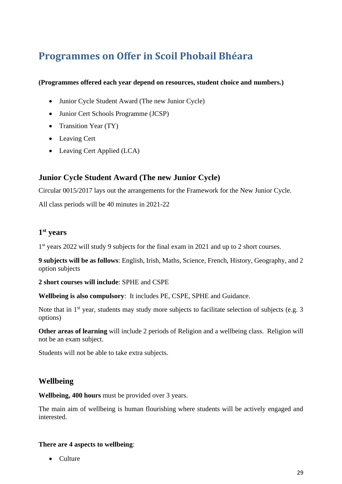### <span id="page-28-0"></span>**Programmes on Offer in Scoil Phobail Bhéara**

### **(Programmes offered each year depend on resources, student choice and numbers.)**

- Junior Cycle Student Award (The new Junior Cycle)
- Junior Cert Schools Programme (JCSP)
- Transition Year (TY)
- Leaving Cert
- Leaving Cert Applied (LCA)

### **Junior Cycle Student Award (The new Junior Cycle)**

Circular 0015/2017 lays out the arrangements for the Framework for the New Junior Cycle.

All class periods will be 40 minutes in 2021-22

### **1 st years**

1<sup>st</sup> years 2022 will study 9 subjects for the final exam in 2021 and up to 2 short courses.

**9 subjects will be as follows**: English, Irish, Maths, Science, French, History, Geography, and 2 option subjects

**2 short courses will include**: SPHE and CSPE

**Wellbeing is also compulsory**: It includes PE, CSPE, SPHE and Guidance.

Note that in  $1<sup>st</sup>$  year, students may study more subjects to facilitate selection of subjects (e.g. 3) options)

**Other areas of learning** will include 2 periods of Religion and a wellbeing class. Religion will not be an exam subject.

Students will not be able to take extra subjects.

### **Wellbeing**

**Wellbeing, 400 hours** must be provided over 3 years.

The main aim of wellbeing is human flourishing where students will be actively engaged and interested.

### **There are 4 aspects to wellbeing**:

• Culture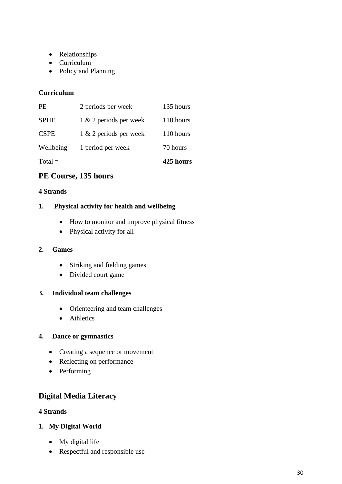- Relationships
- Curriculum
- Policy and Planning

### **Curriculum**

| $Total =$   |                        | 425 hours |
|-------------|------------------------|-----------|
| Wellbeing   | 1 period per week      | 70 hours  |
| <b>CSPE</b> | 1 & 2 periods per week | 110 hours |
| <b>SPHE</b> | 1 & 2 periods per week | 110 hours |
| <b>PE</b>   | 2 periods per week     | 135 hours |

### **PE Course, 135 hours**

### **4 Strands**

### **1. Physical activity for health and wellbeing**

- How to monitor and improve physical fitness
- Physical activity for all

### **2. Games**

- Striking and fielding games
- Divided court game

### **3. Individual team challenges**

- Orienteering and team challenges
- Athletics

### **4. Dance or gymnastics**

- Creating a sequence or movement
- Reflecting on performance
- Performing

### **Digital Media Literacy**

### **4 Strands**

- **1. My Digital World**
	- My digital life
	- Respectful and responsible use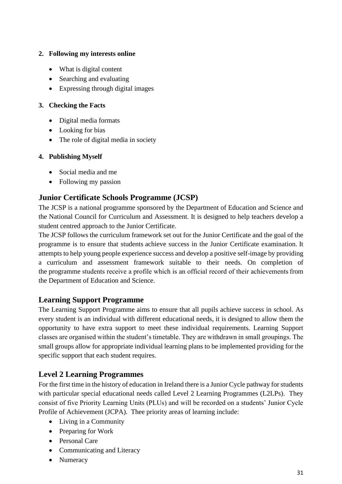### **2. Following my interests online**

- What is digital content
- Searching and evaluating
- Expressing through digital images

### **3. Checking the Facts**

- Digital media formats
- Looking for bias
- The role of digital media in society

### **4. Publishing Myself**

- Social media and me
- Following my passion

### **Junior Certificate Schools Programme (JCSP)**

The JCSP is a national programme sponsored by the Department of Education and Science and the National Council for Curriculum and Assessment. It is designed to help teachers develop a student centred approach to the Junior Certificate.

The JCSP follows the curriculum framework set out for the Junior Certificate and the goal of the programme is to ensure that students achieve success in the Junior Certificate examination. It attempts to help young people experience success and develop a positive self-image by providing a curriculum and assessment framework suitable to their needs. On completion of the programme students receive a profile which is an official record of their achievements from the Department of Education and Science.

### **Learning Support Programme**

The Learning Support Programme aims to ensure that all pupils achieve success in school. As every student is an individual with different educational needs, it is designed to allow them the opportunity to have extra support to meet these individual requirements. Learning Support classes are organised within the student's timetable. They are withdrawn in small groupings. The small groups allow for appropriate individual learning plans to be implemented providing for the specific support that each student requires.

### **Level 2 Learning Programmes**

For the first time in the history of education in Ireland there is a Junior Cycle pathway for students with particular special educational needs called Level 2 Learning Programmes (L2LPs). They consist of five Priority Learning Units (PLUs) and will be recorded on a students' Junior Cycle Profile of Achievement (JCPA). Thee priority areas of learning include:

- Living in a Community
- Preparing for Work
- Personal Care
- Communicating and Literacy
- Numeracy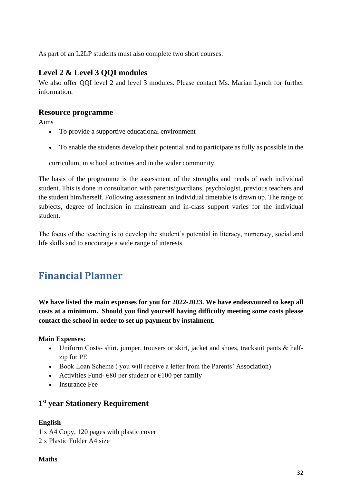As part of an L2LP students must also complete two short courses.

### **Level 2 & Level 3 QQI modules**

We also offer QQI level 2 and level 3 modules. Please contact Ms. Marian Lynch for further information.

### **Resource programme**

Aims

- To provide a supportive educational environment
- To enable the students develop their potential and to participate as fully as possible in the

curriculum, in school activities and in the wider community.

The basis of the programme is the assessment of the strengths and needs of each individual student. This is done in consultation with parents/guardians, psychologist, previous teachers and the student him/herself. Following assessment an individual timetable is drawn up. The range of subjects, degree of inclusion in mainstream and in-class support varies for the individual student.

The focus of the teaching is to develop the student's potential in literacy, numeracy, social and life skills and to encourage a wide range of interests.

### <span id="page-31-0"></span>**Financial Planner**

**We have listed the main expenses for you for 2022-2023. We have endeavoured to keep all costs at a minimum. Should you find yourself having difficulty meeting some costs please contact the school in order to set up payment by instalment.**

**Main Expenses:**

- Uniform Costs- shirt, jumper, trousers or skirt, jacket and shoes, tracksuit pants & halfzip for PE
- Book Loan Scheme (you will receive a letter from the Parents' Association)
- Activities Fund-  $\epsilon$ 80 per student or  $\epsilon$ 100 per family
- Insurance Fee

### **1 st year Stationery Requirement**

### **English**

1 x A4 Copy, 120 pages with plastic cover 2 x Plastic Folder A4 size

### **Maths**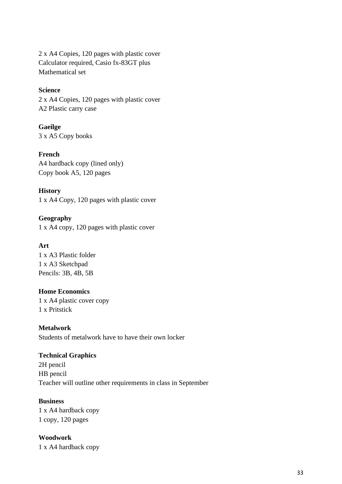2 x A4 Copies, 120 pages with plastic cover Calculator required, Casio fx-83GT plus Mathematical set

#### **Science**

2 x A4 Copies, 120 pages with plastic cover A2 Plastic carry case

**Gaeilge** 3 x A5 Copy books

**French** 

A4 hardback copy (lined only) Copy book A5, 120 pages

#### **History**

1 x A4 Copy, 120 pages with plastic cover

**Geography** 1 x A4 copy, 120 pages with plastic cover

### **Art**

1 x A3 Plastic folder 1 x A3 Sketchpad Pencils: 3B, 4B, 5B

#### **Home Economics**

1 x A4 plastic cover copy 1 x Pritstick

**Metalwork** Students of metalwork have to have their own locker

### **Technical Graphics**

2H pencil HB pencil Teacher will outline other requirements in class in September

### **Business**

1 x A4 hardback copy 1 copy, 120 pages

**Woodwork**

1 x A4 hardback copy